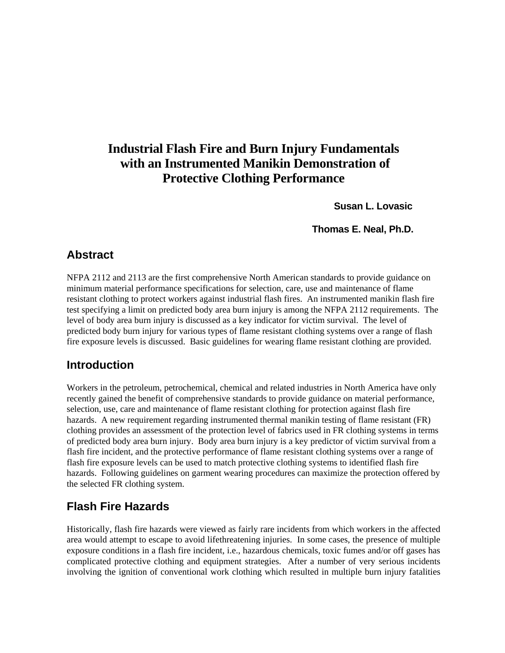# **Industrial Flash Fire and Burn Injury Fundamentals with an Instrumented Manikin Demonstration of Protective Clothing Performance**

 **Susan L. Lovasic** 

 **Thomas E. Neal, Ph.D.**

#### **Abstract**

NFPA 2112 and 2113 are the first comprehensive North American standards to provide guidance on minimum material performance specifications for selection, care, use and maintenance of flame resistant clothing to protect workers against industrial flash fires. An instrumented manikin flash fire test specifying a limit on predicted body area burn injury is among the NFPA 2112 requirements. The level of body area burn injury is discussed as a key indicator for victim survival. The level of predicted body burn injury for various types of flame resistant clothing systems over a range of flash fire exposure levels is discussed. Basic guidelines for wearing flame resistant clothing are provided.

### **Introduction**

Workers in the petroleum, petrochemical, chemical and related industries in North America have only recently gained the benefit of comprehensive standards to provide guidance on material performance, selection, use, care and maintenance of flame resistant clothing for protection against flash fire hazards. A new requirement regarding instrumented thermal manikin testing of flame resistant (FR) clothing provides an assessment of the protection level of fabrics used in FR clothing systems in terms of predicted body area burn injury. Body area burn injury is a key predictor of victim survival from a flash fire incident, and the protective performance of flame resistant clothing systems over a range of flash fire exposure levels can be used to match protective clothing systems to identified flash fire hazards. Following guidelines on garment wearing procedures can maximize the protection offered by the selected FR clothing system.

## **Flash Fire Hazards**

Historically, flash fire hazards were viewed as fairly rare incidents from which workers in the affected area would attempt to escape to avoid lifethreatening injuries. In some cases, the presence of multiple exposure conditions in a flash fire incident, i.e., hazardous chemicals, toxic fumes and/or off gases has complicated protective clothing and equipment strategies. After a number of very serious incidents involving the ignition of conventional work clothing which resulted in multiple burn injury fatalities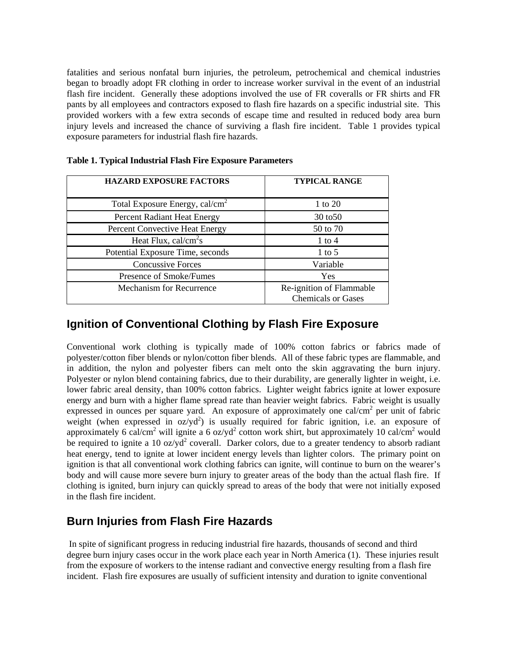fatalities and serious nonfatal burn injuries, the petroleum, petrochemical and chemical industries began to broadly adopt FR clothing in order to increase worker survival in the event of an industrial flash fire incident. Generally these adoptions involved the use of FR coveralls or FR shirts and FR pants by all employees and contractors exposed to flash fire hazards on a specific industrial site. This provided workers with a few extra seconds of escape time and resulted in reduced body area burn injury levels and increased the chance of surviving a flash fire incident. Table 1 provides typical exposure parameters for industrial flash fire hazards.

| <b>HAZARD EXPOSURE FACTORS</b>             | <b>TYPICAL RANGE</b>                                  |
|--------------------------------------------|-------------------------------------------------------|
| Total Exposure Energy, cal/cm <sup>2</sup> | 1 to 20                                               |
| Percent Radiant Heat Energy                | 30 to 50                                              |
| Percent Convective Heat Energy             | 50 to 70                                              |
| Heat Flux, cal/cm <sup>2</sup> s           | $1$ to $4$                                            |
| Potential Exposure Time, seconds           | $1$ to $5$                                            |
| <b>Concussive Forces</b>                   | Variable                                              |
| Presence of Smoke/Fumes                    | Yes                                                   |
| Mechanism for Recurrence                   | Re-ignition of Flammable<br><b>Chemicals or Gases</b> |

**Table 1. Typical Industrial Flash Fire Exposure Parameters** 

#### **Ignition of Conventional Clothing by Flash Fire Exposure**

Conventional work clothing is typically made of 100% cotton fabrics or fabrics made of polyester/cotton fiber blends or nylon/cotton fiber blends. All of these fabric types are flammable, and in addition, the nylon and polyester fibers can melt onto the skin aggravating the burn injury. Polyester or nylon blend containing fabrics, due to their durability, are generally lighter in weight, i.e. lower fabric areal density, than 100% cotton fabrics. Lighter weight fabrics ignite at lower exposure energy and burn with a higher flame spread rate than heavier weight fabrics. Fabric weight is usually expressed in ounces per square yard. An exposure of approximately one cal/cm<sup>2</sup> per unit of fabric weight (when expressed in  $oz/yd^2$ ) is usually required for fabric ignition, i.e. an exposure of approximately 6 cal/cm<sup>2</sup> will ignite a 6 oz/yd<sup>2</sup> cotton work shirt, but approximately 10 cal/cm<sup>2</sup> would be required to ignite a 10 oz/ $yd^2$  coverall. Darker colors, due to a greater tendency to absorb radiant heat energy, tend to ignite at lower incident energy levels than lighter colors. The primary point on ignition is that all conventional work clothing fabrics can ignite, will continue to burn on the wearer's body and will cause more severe burn injury to greater areas of the body than the actual flash fire. If clothing is ignited, burn injury can quickly spread to areas of the body that were not initially exposed in the flash fire incident.

#### **Burn Injuries from Flash Fire Hazards**

 In spite of significant progress in reducing industrial fire hazards, thousands of second and third degree burn injury cases occur in the work place each year in North America (1). These injuries result from the exposure of workers to the intense radiant and convective energy resulting from a flash fire incident. Flash fire exposures are usually of sufficient intensity and duration to ignite conventional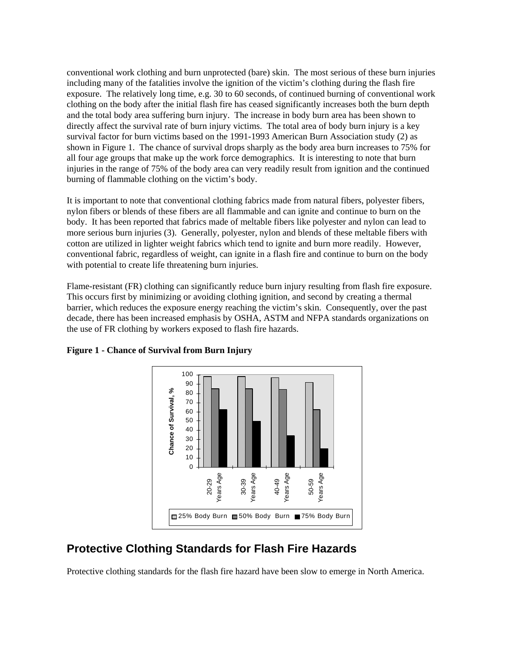conventional work clothing and burn unprotected (bare) skin. The most serious of these burn injuries including many of the fatalities involve the ignition of the victim's clothing during the flash fire exposure. The relatively long time, e.g. 30 to 60 seconds, of continued burning of conventional work clothing on the body after the initial flash fire has ceased significantly increases both the burn depth and the total body area suffering burn injury. The increase in body burn area has been shown to directly affect the survival rate of burn injury victims. The total area of body burn injury is a key survival factor for burn victims based on the 1991-1993 American Burn Association study (2) as shown in Figure 1. The chance of survival drops sharply as the body area burn increases to 75% for all four age groups that make up the work force demographics. It is interesting to note that burn injuries in the range of 75% of the body area can very readily result from ignition and the continued burning of flammable clothing on the victim's body.

It is important to note that conventional clothing fabrics made from natural fibers, polyester fibers, nylon fibers or blends of these fibers are all flammable and can ignite and continue to burn on the body. It has been reported that fabrics made of meltable fibers like polyester and nylon can lead to more serious burn injuries (3). Generally, polyester, nylon and blends of these meltable fibers with cotton are utilized in lighter weight fabrics which tend to ignite and burn more readily. However, conventional fabric, regardless of weight, can ignite in a flash fire and continue to burn on the body with potential to create life threatening burn injuries.

Flame-resistant (FR) clothing can significantly reduce burn injury resulting from flash fire exposure. This occurs first by minimizing or avoiding clothing ignition, and second by creating a thermal barrier, which reduces the exposure energy reaching the victim's skin. Consequently, over the past decade, there has been increased emphasis by OSHA, ASTM and NFPA standards organizations on the use of FR clothing by workers exposed to flash fire hazards.



**Figure 1 - Chance of Survival from Burn Injury** 

### **Protective Clothing Standards for Flash Fire Hazards**

Protective clothing standards for the flash fire hazard have been slow to emerge in North America.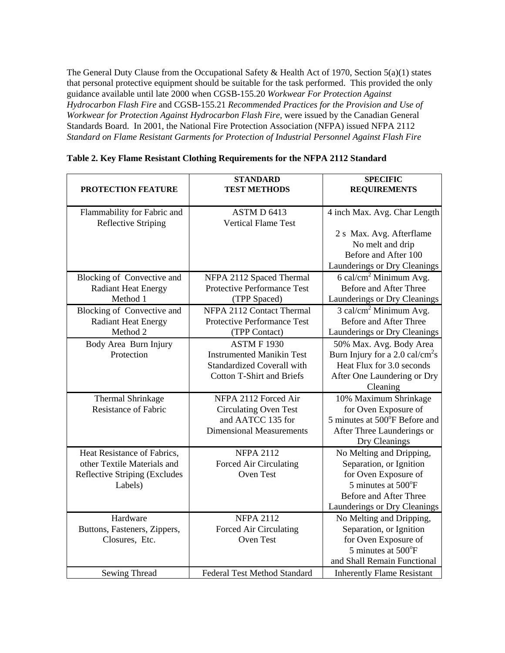The General Duty Clause from the Occupational Safety & Health Act of 1970, Section 5(a)(1) states that personal protective equipment should be suitable for the task performed. This provided the only guidance available until late 2000 when CGSB-155.20 *Workwear For Protection Against Hydrocarbon Flash Fire* and CGSB-155.21 *Recommended Practices for the Provision and Use of Workwear for Protection Against Hydrocarbon Flash Fire,* were issued by the Canadian General Standards Board. In 2001, the National Fire Protection Association (NFPA) issued NFPA 2112 *Standard on Flame Resistant Garments for Protection of Industrial Personnel Against Flash Fire*

| <b>PROTECTION FEATURE</b>                                 | <b>STANDARD</b><br><b>TEST METHODS</b>    | <b>SPECIFIC</b><br><b>REQUIREMENTS</b>     |  |
|-----------------------------------------------------------|-------------------------------------------|--------------------------------------------|--|
| Flammability for Fabric and<br><b>Reflective Striping</b> | ASTM D 6413<br><b>Vertical Flame Test</b> | 4 inch Max. Avg. Char Length               |  |
|                                                           |                                           | 2 s Max. Avg. Afterflame                   |  |
|                                                           |                                           | No melt and drip                           |  |
|                                                           |                                           | Before and After 100                       |  |
|                                                           |                                           | Launderings or Dry Cleanings               |  |
| Blocking of Convective and                                | NFPA 2112 Spaced Thermal                  | 6 cal/cm <sup>2</sup> Minimum Avg.         |  |
| <b>Radiant Heat Energy</b>                                | <b>Protective Performance Test</b>        | Before and After Three                     |  |
| Method 1                                                  | (TPP Spaced)                              | Launderings or Dry Cleanings               |  |
| Blocking of Convective and                                | NFPA 2112 Contact Thermal                 | $3$ cal/cm <sup>2</sup> Minimum Avg.       |  |
| <b>Radiant Heat Energy</b>                                | <b>Protective Performance Test</b>        | Before and After Three                     |  |
| Method 2                                                  | (TPP Contact)                             | Launderings or Dry Cleanings               |  |
| Body Area Burn Injury                                     | <b>ASTM F 1930</b>                        | 50% Max. Avg. Body Area                    |  |
| Protection                                                | <b>Instrumented Manikin Test</b>          | Burn Injury for a $2.0 \text{ cal/cm}^2$ s |  |
|                                                           | <b>Standardized Coverall with</b>         | Heat Flux for 3.0 seconds                  |  |
|                                                           | <b>Cotton T-Shirt and Briefs</b>          | After One Laundering or Dry                |  |
|                                                           |                                           | Cleaning                                   |  |
| Thermal Shrinkage                                         | NFPA 2112 Forced Air                      | 10% Maximum Shrinkage                      |  |
| <b>Resistance of Fabric</b>                               | <b>Circulating Oven Test</b>              | for Oven Exposure of                       |  |
|                                                           | and AATCC 135 for                         | 5 minutes at 500°F Before and              |  |
|                                                           | <b>Dimensional Measurements</b>           | After Three Launderings or                 |  |
|                                                           |                                           | Dry Cleanings                              |  |
| Heat Resistance of Fabrics,                               | <b>NFPA 2112</b>                          | No Melting and Dripping,                   |  |
| other Textile Materials and                               | Forced Air Circulating                    | Separation, or Ignition                    |  |
| <b>Reflective Striping (Excludes</b>                      | Oven Test                                 | for Oven Exposure of                       |  |
| Labels)                                                   |                                           | 5 minutes at 500°F                         |  |
|                                                           |                                           | Before and After Three                     |  |
|                                                           |                                           | Launderings or Dry Cleanings               |  |
| Hardware                                                  | <b>NFPA 2112</b>                          | No Melting and Dripping,                   |  |
| Buttons, Fasteners, Zippers,                              | Forced Air Circulating                    | Separation, or Ignition                    |  |
| Closures, Etc.                                            | Oven Test                                 | for Oven Exposure of<br>5 minutes at 500°F |  |
|                                                           |                                           | and Shall Remain Functional                |  |
| Sewing Thread                                             | <b>Federal Test Method Standard</b>       | <b>Inherently Flame Resistant</b>          |  |
|                                                           |                                           |                                            |  |

|  |  |  | Table 2. Key Flame Resistant Clothing Requirements for the NFPA 2112 Standard |
|--|--|--|-------------------------------------------------------------------------------|
|  |  |  |                                                                               |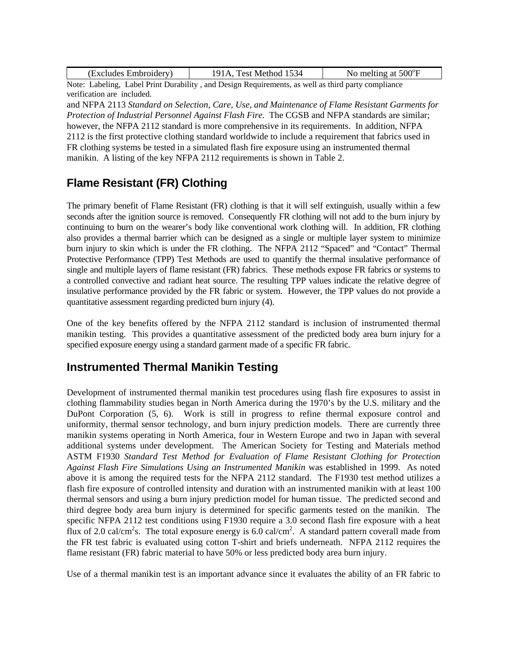| (Excludes Embroidery) | Fest Method 1534 | No melting at $500^{\circ}$ F |
|-----------------------|------------------|-------------------------------|
|-----------------------|------------------|-------------------------------|

Note: Labeling, Label Print Durability , and Design Requirements, as well as third party compliance verification are included.

and NFPA 2113 *Standard on Selection, Care, Use, and Maintenance of Flame Resistant Garments for Protection of Industrial Personnel Against Flash Fire.* The CGSB and NFPA standards are similar; however, the NFPA 2112 standard is more comprehensive in its requirements. In addition, NFPA 2112 is the first protective clothing standard worldwide to include a requirement that fabrics used in FR clothing systems be tested in a simulated flash fire exposure using an instrumented thermal manikin. A listing of the key NFPA 2112 requirements is shown in Table 2.

## **Flame Resistant (FR) Clothing**

The primary benefit of Flame Resistant (FR) clothing is that it will self extinguish, usually within a few seconds after the ignition source is removed. Consequently FR clothing will not add to the burn injury by continuing to burn on the wearer's body like conventional work clothing will. In addition, FR clothing also provides a thermal barrier which can be designed as a single or multiple layer system to minimize burn injury to skin which is under the FR clothing. The NFPA 2112 "Spaced" and "Contact" Thermal Protective Performance (TPP) Test Methods are used to quantify the thermal insulative performance of single and multiple layers of flame resistant (FR) fabrics. These methods expose FR fabrics or systems to a controlled convective and radiant heat source. The resulting TPP values indicate the relative degree of insulative performance provided by the FR fabric or system. However, the TPP values do not provide a quantitative assessment regarding predicted burn injury (4).

One of the key benefits offered by the NFPA 2112 standard is inclusion of instrumented thermal manikin testing. This provides a quantitative assessment of the predicted body area burn injury for a specified exposure energy using a standard garment made of a specific FR fabric.

### **Instrumented Thermal Manikin Testing**

Development of instrumented thermal manikin test procedures using flash fire exposures to assist in clothing flammability studies began in North America during the 1970's by the U.S. military and the DuPont Corporation (5, 6). Work is still in progress to refine thermal exposure control and uniformity, thermal sensor technology, and burn injury prediction models. There are currently three manikin systems operating in North America, four in Western Europe and two in Japan with several additional systems under development. The American Society for Testing and Materials method ASTM F1930 *Standard Test Method for Evaluation of Flame Resistant Clothing for Protection Against Flash Fire Simulations Using an Instrumented Manikin* was established in 1999. As noted above it is among the required tests for the NFPA 2112 standard. The F1930 test method utilizes a flash fire exposure of controlled intensity and duration with an instrumented manikin with at least 100 thermal sensors and using a burn injury prediction model for human tissue. The predicted second and third degree body area burn injury is determined for specific garments tested on the manikin. The specific NFPA 2112 test conditions using F1930 require a 3.0 second flash fire exposure with a heat flux of 2.0 cal/cm<sup>2</sup>s. The total exposure energy is  $6.0$  cal/cm<sup>2</sup>. A standard pattern coverall made from the FR test fabric is evaluated using cotton T-shirt and briefs underneath. NFPA 2112 requires the flame resistant (FR) fabric material to have 50% or less predicted body area burn injury.

Use of a thermal manikin test is an important advance since it evaluates the ability of an FR fabric to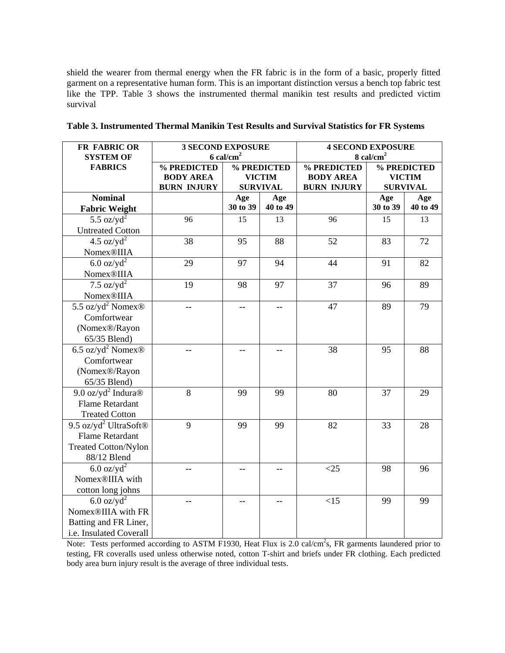shield the wearer from thermal energy when the FR fabric is in the form of a basic, properly fitted garment on a representative human form. This is an important distinction versus a bench top fabric test like the TPP. Table 3 shows the instrumented thermal manikin test results and predicted victim survival

| FR FABRIC OR                                  | <b>3 SECOND EXPOSURE</b> |                         | <b>4 SECOND EXPOSURE</b> |                      |                 |               |  |
|-----------------------------------------------|--------------------------|-------------------------|--------------------------|----------------------|-----------------|---------------|--|
| <b>SYSTEM OF</b>                              |                          | $6$ cal/cm <sup>2</sup> |                          | $8 \text{ cal/cm}^2$ |                 |               |  |
| <b>FABRICS</b>                                | % PREDICTED              | % PREDICTED             |                          | % PREDICTED          | % PREDICTED     |               |  |
|                                               | <b>BODY AREA</b>         | <b>VICTIM</b>           |                          | <b>BODY AREA</b>     |                 | <b>VICTIM</b> |  |
|                                               | <b>BURN INJURY</b>       | <b>SURVIVAL</b>         |                          | <b>BURN INJURY</b>   | <b>SURVIVAL</b> |               |  |
| <b>Nominal</b>                                |                          | Age                     | Age                      |                      | Age             | Age           |  |
| <b>Fabric Weight</b>                          |                          | 30 to 39                | 40 to 49                 |                      | 30 to 39        | 40 to 49      |  |
| 5.5 oz/y $d^2$                                | 96                       | 15                      | 13                       | 96                   | 15              | 13            |  |
| <b>Untreated Cotton</b>                       |                          |                         |                          |                      |                 |               |  |
| 4.5 oz/ $yd^2$                                | 38                       | 95                      | 88                       | 52                   | 83              | 72            |  |
| Nomex®IIIA                                    |                          |                         |                          |                      |                 |               |  |
| $6.0$ oz/yd <sup>2</sup>                      | 29                       | 97                      | 94                       | 44                   | 91              | 82            |  |
| <b>Nomex®IIIA</b>                             |                          |                         |                          |                      |                 |               |  |
| 7.5 oz/y $d^2$                                | 19                       | 98                      | 97                       | 37                   | 96              | 89            |  |
| Nomex <sup>®</sup> IIIA                       |                          |                         |                          |                      |                 |               |  |
| $\overline{5.5}$ oz/yd <sup>2</sup> Nomex®    |                          | --                      |                          | 47                   | 89              | 79            |  |
| Comfortwear                                   |                          |                         |                          |                      |                 |               |  |
| (Nomex®/Rayon                                 |                          |                         |                          |                      |                 |               |  |
| 65/35 Blend)                                  |                          |                         |                          |                      |                 |               |  |
| 6.5 oz/yd <sup>2</sup> Nomex <sup>®</sup>     |                          | $-$                     |                          | 38                   | 95              | 88            |  |
| Comfortwear                                   |                          |                         |                          |                      |                 |               |  |
| (Nomex®/Rayon                                 |                          |                         |                          |                      |                 |               |  |
| 65/35 Blend)                                  |                          |                         |                          |                      |                 |               |  |
| 9.0 oz/yd <sup>2</sup> Indura $\circledR$     | 8                        | 99                      | 99                       | 80                   | 37              | 29            |  |
| <b>Flame Retardant</b>                        |                          |                         |                          |                      |                 |               |  |
| <b>Treated Cotton</b>                         |                          |                         |                          |                      |                 |               |  |
| 9.5 oz/yd <sup>2</sup> UltraSoft <sup>®</sup> | 9                        | 99                      | 99                       | 82                   | 33              | 28            |  |
| <b>Flame Retardant</b>                        |                          |                         |                          |                      |                 |               |  |
| <b>Treated Cotton/Nylon</b>                   |                          |                         |                          |                      |                 |               |  |
| 88/12 Blend                                   |                          |                         |                          |                      |                 |               |  |
| $6.0 \text{ oz/yd}^2$                         |                          |                         |                          | $<$ 25               | 98              | 96            |  |
| Nomex <sup>®</sup> IIIA with                  |                          |                         |                          |                      |                 |               |  |
| cotton long johns                             |                          |                         |                          |                      |                 |               |  |
| $6.0 \text{ oz/yd}^2$                         |                          |                         |                          | <15                  | 99              | 99            |  |
| Nomex®IIIA with FR                            |                          |                         |                          |                      |                 |               |  |
| Batting and FR Liner,                         |                          |                         |                          |                      |                 |               |  |
| i.e. Insulated Coverall                       |                          |                         |                          |                      |                 |               |  |

|  | Table 3. Instrumented Thermal Manikin Test Results and Survival Statistics for FR Systems |  |  |
|--|-------------------------------------------------------------------------------------------|--|--|
|  |                                                                                           |  |  |

Note: Tests performed according to ASTM F1930, Heat Flux is 2.0 cal/cm<sup>2</sup>s, FR garments laundered prior to testing, FR coveralls used unless otherwise noted, cotton T-shirt and briefs under FR clothing. Each predicted body area burn injury result is the average of three individual tests.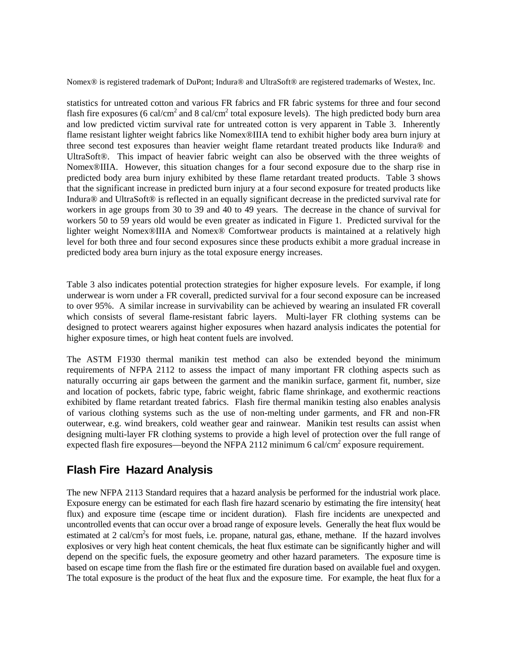Nomex® is registered trademark of DuPont; Indura® and UltraSoft® are registered trademarks of Westex, Inc.

statistics for untreated cotton and various FR fabrics and FR fabric systems for three and four second flash fire exposures (6 cal/cm<sup>2</sup> and 8 cal/cm<sup>2</sup> total exposure levels). The high predicted body burn area and low predicted victim survival rate for untreated cotton is very apparent in Table 3. Inherently flame resistant lighter weight fabrics like Nomex®IIIA tend to exhibit higher body area burn injury at three second test exposures than heavier weight flame retardant treated products like Indura® and UltraSoft®. This impact of heavier fabric weight can also be observed with the three weights of Nomex®IIIA. However, this situation changes for a four second exposure due to the sharp rise in predicted body area burn injury exhibited by these flame retardant treated products. Table 3 shows that the significant increase in predicted burn injury at a four second exposure for treated products like Indura® and UltraSoft® is reflected in an equally significant decrease in the predicted survival rate for workers in age groups from 30 to 39 and 40 to 49 years. The decrease in the chance of survival for workers 50 to 59 years old would be even greater as indicated in Figure 1. Predicted survival for the lighter weight Nomex®IIIA and Nomex® Comfortwear products is maintained at a relatively high level for both three and four second exposures since these products exhibit a more gradual increase in predicted body area burn injury as the total exposure energy increases.

Table 3 also indicates potential protection strategies for higher exposure levels. For example, if long underwear is worn under a FR coverall, predicted survival for a four second exposure can be increased to over 95%. A similar increase in survivability can be achieved by wearing an insulated FR coverall which consists of several flame-resistant fabric layers. Multi-layer FR clothing systems can be designed to protect wearers against higher exposures when hazard analysis indicates the potential for higher exposure times, or high heat content fuels are involved.

The ASTM F1930 thermal manikin test method can also be extended beyond the minimum requirements of NFPA 2112 to assess the impact of many important FR clothing aspects such as naturally occurring air gaps between the garment and the manikin surface, garment fit, number, size and location of pockets, fabric type, fabric weight, fabric flame shrinkage, and exothermic reactions exhibited by flame retardant treated fabrics. Flash fire thermal manikin testing also enables analysis of various clothing systems such as the use of non-melting under garments, and FR and non-FR outerwear, e.g. wind breakers, cold weather gear and rainwear. Manikin test results can assist when designing multi-layer FR clothing systems to provide a high level of protection over the full range of expected flash fire exposures—beyond the NFPA 2112 minimum 6 cal/cm<sup>2</sup> exposure requirement.

#### **Flash Fire Hazard Analysis**

The new NFPA 2113 Standard requires that a hazard analysis be performed for the industrial work place. Exposure energy can be estimated for each flash fire hazard scenario by estimating the fire intensity( heat flux) and exposure time (escape time or incident duration). Flash fire incidents are unexpected and uncontrolled events that can occur over a broad range of exposure levels. Generally the heat flux would be estimated at 2 cal/cm<sup>2</sup>s for most fuels, i.e. propane, natural gas, ethane, methane. If the hazard involves explosives or very high heat content chemicals, the heat flux estimate can be significantly higher and will depend on the specific fuels, the exposure geometry and other hazard parameters. The exposure time is based on escape time from the flash fire or the estimated fire duration based on available fuel and oxygen. The total exposure is the product of the heat flux and the exposure time. For example, the heat flux for a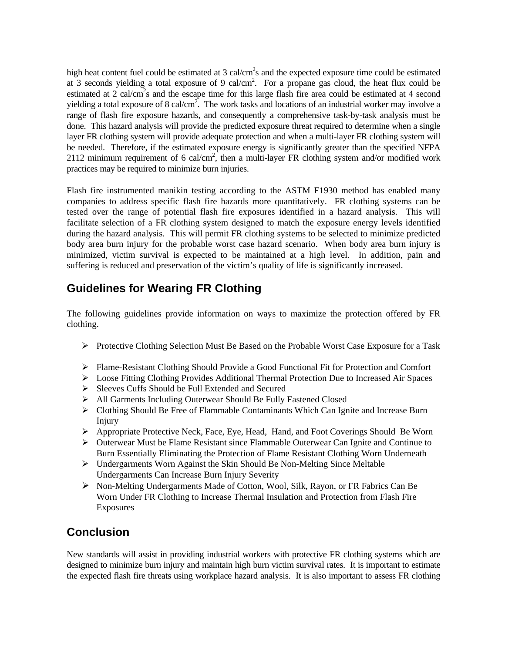high heat content fuel could be estimated at  $3 \text{ cal/cm}^2$ s and the expected exposure time could be estimated at 3 seconds yielding a total exposure of 9 cal/cm<sup>2</sup>. For a propane gas cloud, the heat flux could be estimated at 2 cal/cm<sup>2</sup>s and the escape time for this large flash fire area could be estimated at 4 second yielding a total exposure of 8 cal/cm<sup>2</sup>. The work tasks and locations of an industrial worker may involve a range of flash fire exposure hazards, and consequently a comprehensive task-by-task analysis must be done. This hazard analysis will provide the predicted exposure threat required to determine when a single layer FR clothing system will provide adequate protection and when a multi-layer FR clothing system will be needed. Therefore, if the estimated exposure energy is significantly greater than the specified NFPA 2112 minimum requirement of 6 cal/cm<sup>2</sup>, then a multi-layer FR clothing system and/or modified work practices may be required to minimize burn injuries.

Flash fire instrumented manikin testing according to the ASTM F1930 method has enabled many companies to address specific flash fire hazards more quantitatively. FR clothing systems can be tested over the range of potential flash fire exposures identified in a hazard analysis. This will facilitate selection of a FR clothing system designed to match the exposure energy levels identified during the hazard analysis. This will permit FR clothing systems to be selected to minimize predicted body area burn injury for the probable worst case hazard scenario. When body area burn injury is minimized, victim survival is expected to be maintained at a high level. In addition, pain and suffering is reduced and preservation of the victim's quality of life is significantly increased.

## **Guidelines for Wearing FR Clothing**

The following guidelines provide information on ways to maximize the protection offered by FR clothing.

- ¾ Protective Clothing Selection Must Be Based on the Probable Worst Case Exposure for a Task
- ¾ Flame-Resistant Clothing Should Provide a Good Functional Fit for Protection and Comfort
- ¾ Loose Fitting Clothing Provides Additional Thermal Protection Due to Increased Air Spaces
- ¾ Sleeves Cuffs Should be Full Extended and Secured
- ¾ All Garments Including Outerwear Should Be Fully Fastened Closed
- ¾ Clothing Should Be Free of Flammable Contaminants Which Can Ignite and Increase Burn Injury
- ¾ Appropriate Protective Neck, Face, Eye, Head, Hand, and Foot Coverings Should Be Worn
- ¾ Outerwear Must be Flame Resistant since Flammable Outerwear Can Ignite and Continue to Burn Essentially Eliminating the Protection of Flame Resistant Clothing Worn Underneath
- ¾ Undergarments Worn Against the Skin Should Be Non-Melting Since Meltable Undergarments Can Increase Burn Injury Severity
- ¾ Non-Melting Undergarments Made of Cotton, Wool, Silk, Rayon, or FR Fabrics Can Be Worn Under FR Clothing to Increase Thermal Insulation and Protection from Flash Fire Exposures

## **Conclusion**

New standards will assist in providing industrial workers with protective FR clothing systems which are designed to minimize burn injury and maintain high burn victim survival rates. It is important to estimate the expected flash fire threats using workplace hazard analysis. It is also important to assess FR clothing